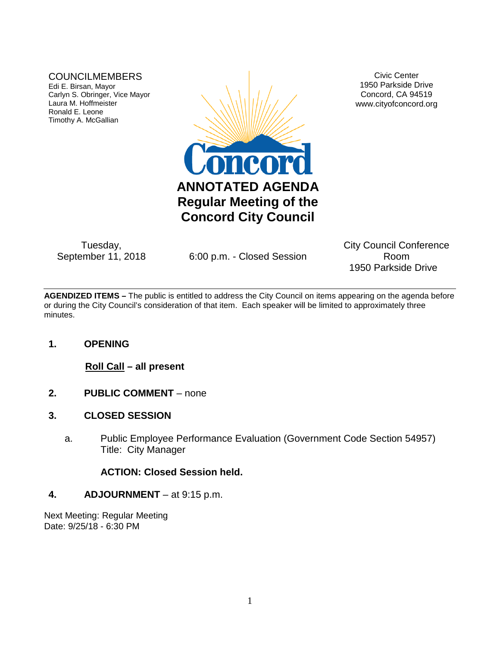## COUNCILMEMBERS

Edi E. Birsan, Mayor Carlyn S. Obringer, Vice Mayor Laura M. Hoffmeister Ronald E. Leone Timothy A. McGallian



Tuesday,<br>September 11, 2018

6:00 p.m. - Closed Session

Civic Center 1950 Parkside Drive Concord, CA 94519 www.cityofconcord.org

City Council Conference Room 1950 Parkside Drive

**AGENDIZED ITEMS –** The public is entitled to address the City Council on items appearing on the agenda before or during the City Council's consideration of that item. Each speaker will be limited to approximately three minutes.

## **1. OPENING**

**Roll Call – all present**

- **2. PUBLIC COMMENT** none
- **3. CLOSED SESSION**
	- a. Public Employee Performance Evaluation (Government Code Section 54957) Title: City Manager

## **ACTION: Closed Session held.**

## **4. ADJOURNMENT** – at 9:15 p.m.

Next Meeting: Regular Meeting Date: 9/25/18 - 6:30 PM